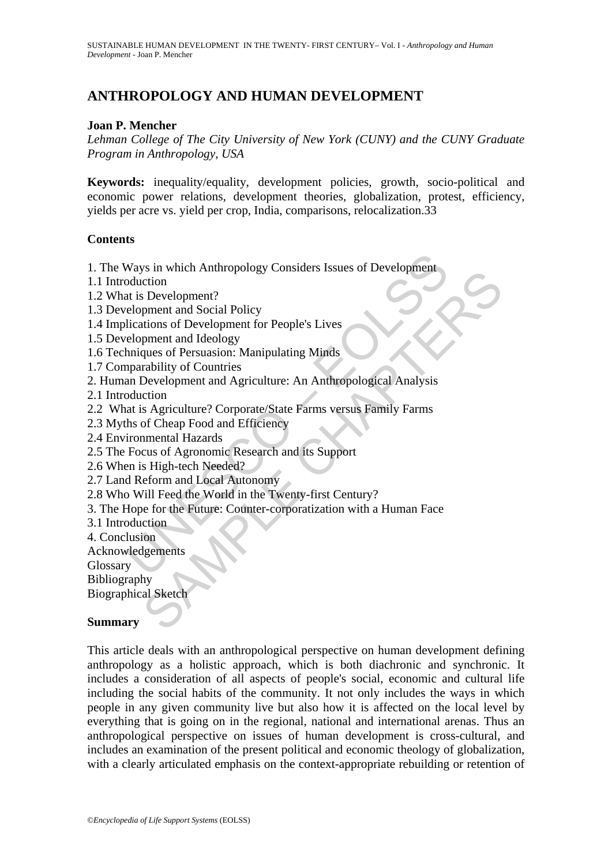# **ANTHROPOLOGY AND HUMAN DEVELOPMENT**

### **Joan P. Mencher**

*Lehman College of The City University of New York (CUNY) and the CUNY Graduate Program in Anthropology, USA* 

**Keywords:** inequality/equality, development policies, growth, socio-political and economic power relations, development theories, globalization, protest, efficiency, yields per acre vs. yield per crop, India, comparisons, relocalization.33

#### **Contents**

1. The Ways in which Anthropology Considers Issues of Development

- 1.1 Introduction
- 1.2 What is Development?
- 1.3 Development and Social Policy
- 1.4 Implications of Development for People's Lives
- 1.5 Development and Ideology
- 1.6 Techniques of Persuasion: Manipulating Minds
- 1.7 Comparability of Countries
- 2. Human Development and Agriculture: An Anthropological Analysis
- 2.1 Introduction
- 2.2 What is Agriculture? Corporate/State Farms versus Family Farms
- 2.3 Myths of Cheap Food and Efficiency
- 2.4 Environmental Hazards
- 2.5 The Focus of Agronomic Research and its Support
- 2.6 When is High-tech Needed?
- 2.7 Land Reform and Local Autonomy
- 2.8 Who Will Feed the World in the Twenty-first Century?
- Ways in which Anthropology Considers Issues of Development<br>
oduction<br>
at is Development?<br>
elopment and Social Policy<br>
lications of Development for People's Lives<br>
elopment and Ideology<br>
marability of Countries<br>
man Develop Solven the Chapter of the Policins<br>
Critical Bolival Policy<br>
Development and Social Policy<br>
ment and Social Policy<br>
ment and Ideology<br>
ment and Ideology<br>
ment and Ideology<br>
ment and Ideology<br>
ment and Agriculture: An Anthr 3. The Hope for the Future: Counter-corporatization with a Human Face
- 3.1 Introduction
- 4. Conclusion
- Acknowledgements

Glossary

Bibliography

Biographical Sketch

#### **Summary**

This article deals with an anthropological perspective on human development defining anthropology as a holistic approach, which is both diachronic and synchronic. It includes a consideration of all aspects of people's social, economic and cultural life including the social habits of the community. It not only includes the ways in which people in any given community live but also how it is affected on the local level by everything that is going on in the regional, national and international arenas. Thus an anthropological perspective on issues of human development is cross-cultural, and includes an examination of the present political and economic theology of globalization, with a clearly articulated emphasis on the context-appropriate rebuilding or retention of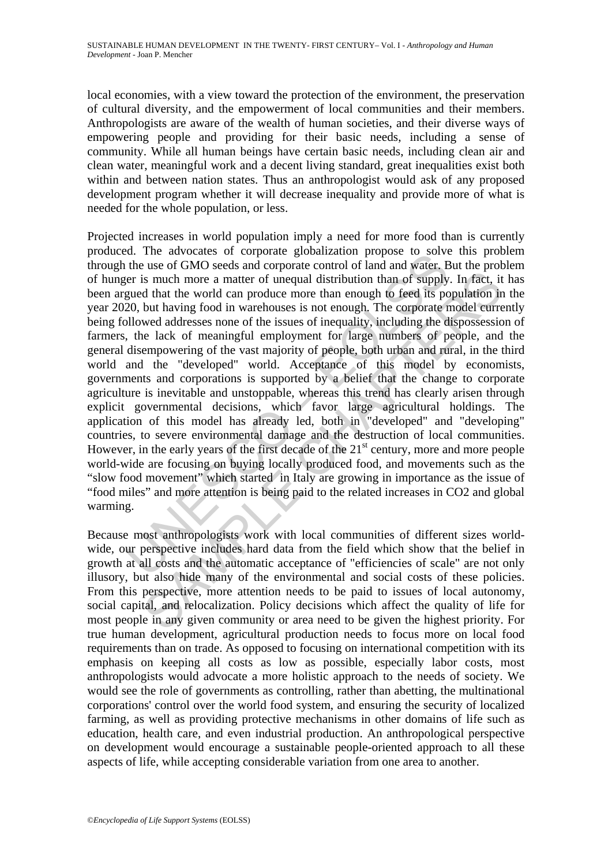local economies, with a view toward the protection of the environment, the preservation of cultural diversity, and the empowerment of local communities and their members. Anthropologists are aware of the wealth of human societies, and their diverse ways of empowering people and providing for their basic needs, including a sense of community. While all human beings have certain basic needs, including clean air and clean water, meaningful work and a decent living standard, great inequalities exist both within and between nation states. Thus an anthropologist would ask of any proposed development program whether it will decrease inequality and provide more of what is needed for the whole population, or less.

I. The autocause of corporate grootancation propose to solve the use of GMO seeds and corporate control of land and water. E<br>er is much more a matter of unequal distribution than of supply<br>gued that the world can produce is much more a matter of unequal distribution than of supply. In fact, it d that the world can produce more than enough to feed its population in but having food in warehouses is not enough. The corporate model curre we d Projected increases in world population imply a need for more food than is currently produced. The advocates of corporate globalization propose to solve this problem through the use of GMO seeds and corporate control of land and water. But the problem of hunger is much more a matter of unequal distribution than of supply. In fact, it has been argued that the world can produce more than enough to feed its population in the year 2020, but having food in warehouses is not enough. The corporate model currently being followed addresses none of the issues of inequality, including the dispossession of farmers, the lack of meaningful employment for large numbers of people, and the general disempowering of the vast majority of people, both urban and rural, in the third world and the "developed" world. Acceptance of this model by economists, governments and corporations is supported by a belief that the change to corporate agriculture is inevitable and unstoppable, whereas this trend has clearly arisen through explicit governmental decisions, which favor large agricultural holdings. The application of this model has already led, both in "developed" and "developing" countries, to severe environmental damage and the destruction of local communities. However, in the early years of the first decade of the  $21<sup>st</sup>$  century, more and more people world-wide are focusing on buying locally produced food, and movements such as the "slow food movement" which started in Italy are growing in importance as the issue of "food miles" and more attention is being paid to the related increases in CO2 and global warming.

Because most anthropologists work with local communities of different sizes worldwide, our perspective includes hard data from the field which show that the belief in growth at all costs and the automatic acceptance of "efficiencies of scale" are not only illusory, but also hide many of the environmental and social costs of these policies. From this perspective, more attention needs to be paid to issues of local autonomy, social capital, and relocalization. Policy decisions which affect the quality of life for most people in any given community or area need to be given the highest priority. For true human development, agricultural production needs to focus more on local food requirements than on trade. As opposed to focusing on international competition with its emphasis on keeping all costs as low as possible, especially labor costs, most anthropologists would advocate a more holistic approach to the needs of society. We would see the role of governments as controlling, rather than abetting, the multinational corporations' control over the world food system, and ensuring the security of localized farming, as well as providing protective mechanisms in other domains of life such as education, health care, and even industrial production. An anthropological perspective on development would encourage a sustainable people-oriented approach to all these aspects of life, while accepting considerable variation from one area to another.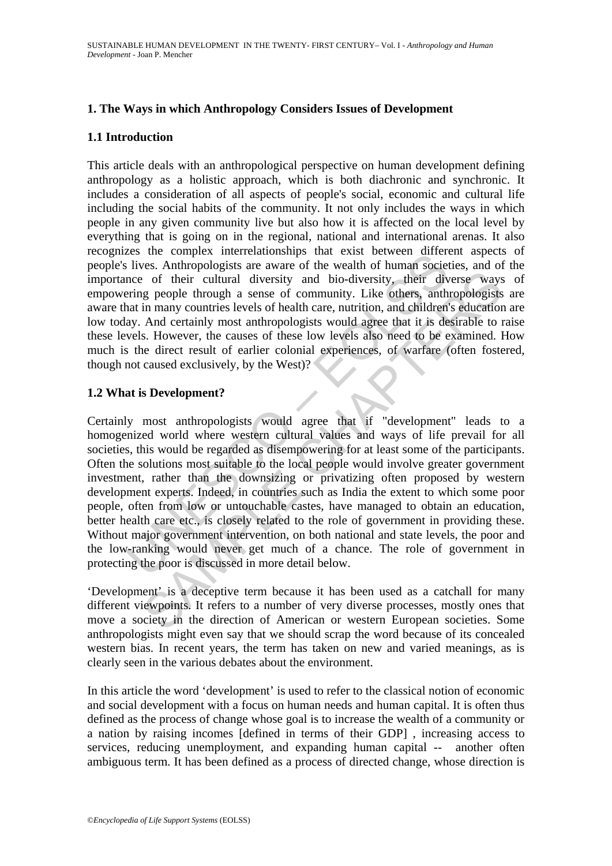## **1. The Ways in which Anthropology Considers Issues of Development**

#### **1.1 Introduction**

This article deals with an anthropological perspective on human development defining anthropology as a holistic approach, which is both diachronic and synchronic. It includes a consideration of all aspects of people's social, economic and cultural life including the social habits of the community. It not only includes the ways in which people in any given community live but also how it is affected on the local level by everything that is going on in the regional, national and international arenas. It also recognizes the complex interrelationships that exist between different aspects of people's lives. Anthropologists are aware of the wealth of human societies, and of the importance of their cultural diversity and bio-diversity, their diverse ways of empowering people through a sense of community. Like others, anthropologists are aware that in many countries levels of health care, nutrition, and children's education are low today. And certainly most anthropologists would agree that it is desirable to raise these levels. However, the causes of these low levels also need to be examined. How much is the direct result of earlier colonial experiences, of warfare (often fostered, though not caused exclusively, by the West)?

#### **1.2 What is Development?**

Exame Complex micrleantionsings und exist between unrelevant<br>is lives. Anthropologists are aware of the wealth of human societies<br>ince of their cultural diversity and bio-diversity, their diversity<br>ering people through a s of their cultural diversity and bio-diversity, their diverse ways<br>g people through a sense of community. Like others, anthropologists<br>in many countries levels of health care, nutrition, and children's education<br>And certain Certainly most anthropologists would agree that if "development" leads to a homogenized world where western cultural values and ways of life prevail for all societies, this would be regarded as disempowering for at least some of the participants. Often the solutions most suitable to the local people would involve greater government investment, rather than the downsizing or privatizing often proposed by western development experts. Indeed, in countries such as India the extent to which some poor people, often from low or untouchable castes, have managed to obtain an education, better health care etc., is closely related to the role of government in providing these. Without major government intervention, on both national and state levels, the poor and the low-ranking would never get much of a chance. The role of government in protecting the poor is discussed in more detail below.

'Development' is a deceptive term because it has been used as a catchall for many different viewpoints. It refers to a number of very diverse processes, mostly ones that move a society in the direction of American or western European societies. Some anthropologists might even say that we should scrap the word because of its concealed western bias. In recent years, the term has taken on new and varied meanings, as is clearly seen in the various debates about the environment.

In this article the word 'development' is used to refer to the classical notion of economic and social development with a focus on human needs and human capital. It is often thus defined as the process of change whose goal is to increase the wealth of a community or a nation by raising incomes [defined in terms of their GDP] , increasing access to services, reducing unemployment, and expanding human capital -- another often ambiguous term. It has been defined as a process of directed change, whose direction is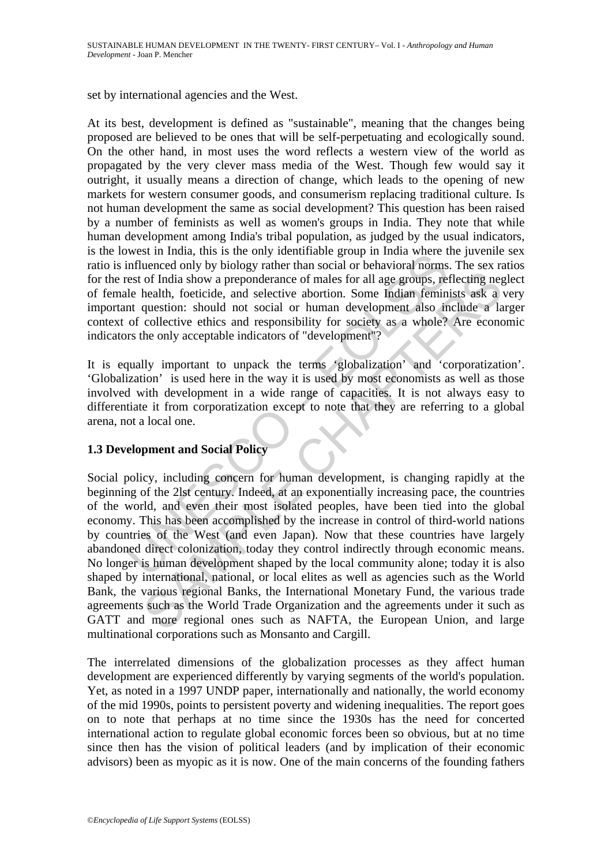set by international agencies and the West.

At its best, development is defined as "sustainable", meaning that the changes being proposed are believed to be ones that will be self-perpetuating and ecologically sound. On the other hand, in most uses the word reflects a western view of the world as propagated by the very clever mass media of the West. Though few would say it outright, it usually means a direction of change, which leads to the opening of new markets for western consumer goods, and consumerism replacing traditional culture. Is not human development the same as social development? This question has been raised by a number of feminists as well as women's groups in India. They note that while human development among India's tribal population, as judged by the usual indicators, is the lowest in India, this is the only identifiable group in India where the juvenile sex ratio is influenced only by biology rather than social or behavioral norms. The sex ratios for the rest of India show a preponderance of males for all age groups, reflecting neglect of female health, foeticide, and selective abortion. Some Indian feminists ask a very important question: should not social or human development also include a larger context of collective ethics and responsibility for society as a whole? Are economic indicators the only acceptable indicators of "development"?

It is equally important to unpack the terms 'globalization' and 'corporatization'. 'Globalization' is used here in the way it is used by most economists as well as those involved with development in a wide range of capacities. It is not always easy to differentiate it from corporatization except to note that they are referring to a global arena, not a local one.

## **1.3 Development and Social Policy**

worst in mind, uns is ure unity utentinate group in mind which<br>influenced only by biology rather than social or behavioral norms<br>rest of India show a preponderance of males for all age groups, relie<br>health, foeticide, and of India show a preponderance of males for all age groups, reflecting neg<br>health, foeticide, and selective abortion. Some Indian feminists ask a<br>postestion: should not social or human development also include a la<br>question Social policy, including concern for human development, is changing rapidly at the beginning of the 2lst century. Indeed, at an exponentially increasing pace, the countries of the world, and even their most isolated peoples, have been tied into the global economy. This has been accomplished by the increase in control of third-world nations by countries of the West (and even Japan). Now that these countries have largely abandoned direct colonization, today they control indirectly through economic means. No longer is human development shaped by the local community alone; today it is also shaped by international, national, or local elites as well as agencies such as the World Bank, the various regional Banks, the International Monetary Fund, the various trade agreements such as the World Trade Organization and the agreements under it such as GATT and more regional ones such as NAFTA, the European Union, and large multinational corporations such as Monsanto and Cargill.

The interrelated dimensions of the globalization processes as they affect human development are experienced differently by varying segments of the world's population. Yet, as noted in a 1997 UNDP paper, internationally and nationally, the world economy of the mid 1990s, points to persistent poverty and widening inequalities. The report goes on to note that perhaps at no time since the 1930s has the need for concerted international action to regulate global economic forces been so obvious, but at no time since then has the vision of political leaders (and by implication of their economic advisors) been as myopic as it is now. One of the main concerns of the founding fathers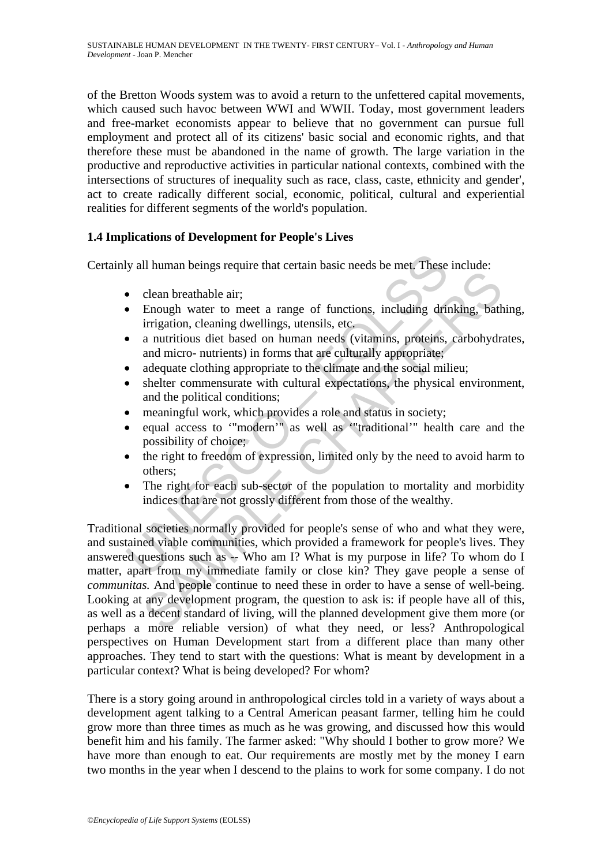of the Bretton Woods system was to avoid a return to the unfettered capital movements, which caused such havoc between WWI and WWII. Today, most government leaders and free-market economists appear to believe that no government can pursue full employment and protect all of its citizens' basic social and economic rights, and that therefore these must be abandoned in the name of growth. The large variation in the productive and reproductive activities in particular national contexts, combined with the intersections of structures of inequality such as race, class, caste, ethnicity and gender', act to create radically different social, economic, political, cultural and experiential realities for different segments of the world's population.

## **1.4 Implications of Development for People's Lives**

Certainly all human beings require that certain basic needs be met. These include:

- clean breathable air;
- Enough water to meet a range of functions, including drinking, bathing, irrigation, cleaning dwellings, utensils, etc.
- a nutritious diet based on human needs (vitamins, proteins, carbohydrates, and micro- nutrients) in forms that are culturally appropriate;
- adequate clothing appropriate to the climate and the social milieu;
- shelter commensurate with cultural expectations, the physical environment, and the political conditions;
- meaningful work, which provides a role and status in society;
- equal access to "modern'" as well as "traditional'" health care and the possibility of choice;
- the right to freedom of expression, limited only by the need to avoid harm to others;
- The right for each sub-sector of the population to mortality and morbidity indices that are not grossly different from those of the wealthy.

**Solution** Internal Solution and Solution and Solution and Solution and Solution and Solution and Solution (Figure 100 and minimisation, cleaning dwellings, utensils, etc.<br> **Enough water to meet a range of functions, inclu** clean breakthable air;<br>
Enough water to meet a range of functions, including drinking, bath<br>
irrigation, cleaning dwellings, utensils, etc.<br>
an untritious diet based on human needs (vitamins, proteins, carbohydra<br>
and micr Traditional societies normally provided for people's sense of who and what they were, and sustained viable communities, which provided a framework for people's lives. They answered questions such as -- Who am I? What is my purpose in life? To whom do I matter, apart from my immediate family or close kin? They gave people a sense of *communitas.* And people continue to need these in order to have a sense of well-being. Looking at any development program, the question to ask is: if people have all of this, as well as a decent standard of living, will the planned development give them more (or perhaps a more reliable version) of what they need, or less? Anthropological perspectives on Human Development start from a different place than many other approaches. They tend to start with the questions: What is meant by development in a particular context? What is being developed? For whom?

There is a story going around in anthropological circles told in a variety of ways about a development agent talking to a Central American peasant farmer, telling him he could grow more than three times as much as he was growing, and discussed how this would benefit him and his family. The farmer asked: "Why should I bother to grow more? We have more than enough to eat. Our requirements are mostly met by the money I earn two months in the year when I descend to the plains to work for some company. I do not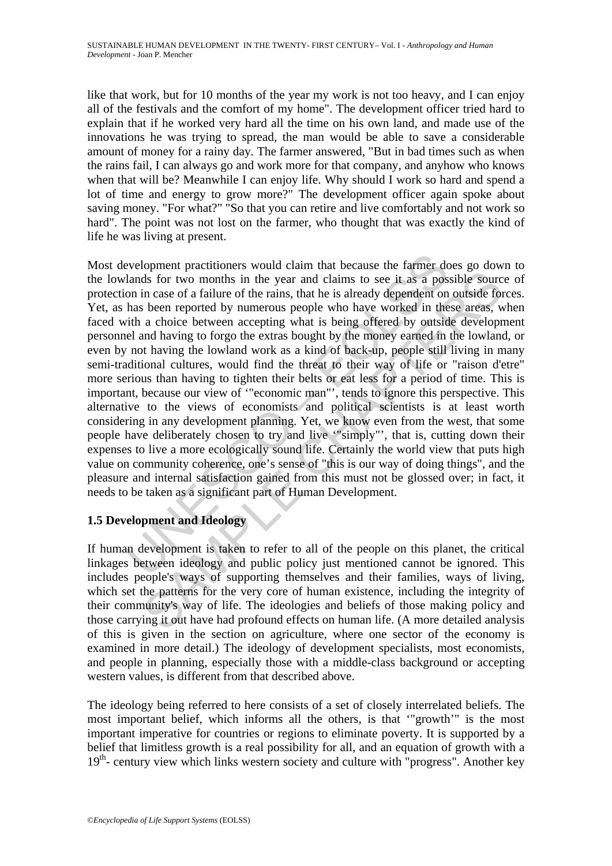like that work, but for 10 months of the year my work is not too heavy, and I can enjoy all of the festivals and the comfort of my home". The development officer tried hard to explain that if he worked very hard all the time on his own land, and made use of the innovations he was trying to spread, the man would be able to save a considerable amount of money for a rainy day. The farmer answered, "But in bad times such as when the rains fail, I can always go and work more for that company, and anyhow who knows when that will be? Meanwhile I can enjoy life. Why should I work so hard and spend a lot of time and energy to grow more?" The development officer again spoke about saving money. "For what?" "So that you can retire and live comfortably and not work so hard". The point was not lost on the farmer, who thought that was exactly the kind of life he was living at present.

evelopment practitioners would claim that because the farmer dc<br>lands for two months in the year and claims to see it as a pos<br>on in case of a failure of the rains, that he is already dependent on<br>has been reported by nume ds for two months in the year and claims to see it as a possible source in case of a failure of the rains, that he is already dependent on outside for been reported by numerous people who have worsed in these areas, we can Most development practitioners would claim that because the farmer does go down to the lowlands for two months in the year and claims to see it as a possible source of protection in case of a failure of the rains, that he is already dependent on outside forces. Yet, as has been reported by numerous people who have worked in these areas, when faced with a choice between accepting what is being offered by outside development personnel and having to forgo the extras bought by the money earned in the lowland, or even by not having the lowland work as a kind of back-up, people still living in many semi-traditional cultures, would find the threat to their way of life or "raison d'etre" more serious than having to tighten their belts or eat less for a period of time. This is important, because our view of '"economic man"', tends to ignore this perspective. This alternative to the views of economists and political scientists is at least worth considering in any development planning. Yet, we know even from the west, that some people have deliberately chosen to try and live '"simply"', that is, cutting down their expenses to live a more ecologically sound life. Certainly the world view that puts high value on community coherence, one's sense of "this is our way of doing things", and the pleasure and internal satisfaction gained from this must not be glossed over; in fact, it needs to be taken as a significant part of Human Development.

## **1.5 Development and Ideology**

If human development is taken to refer to all of the people on this planet, the critical linkages between ideology and public policy just mentioned cannot be ignored. This includes people's ways of supporting themselves and their families, ways of living, which set the patterns for the very core of human existence, including the integrity of their community's way of life. The ideologies and beliefs of those making policy and those carrying it out have had profound effects on human life. (A more detailed analysis of this is given in the section on agriculture, where one sector of the economy is examined in more detail.) The ideology of development specialists, most economists, and people in planning, especially those with a middle-class background or accepting western values, is different from that described above.

The ideology being referred to here consists of a set of closely interrelated beliefs. The most important belief, which informs all the others, is that '"growth'" is the most important imperative for countries or regions to eliminate poverty. It is supported by a belief that limitless growth is a real possibility for all, and an equation of growth with a 19<sup>th</sup>- century view which links western society and culture with "progress". Another key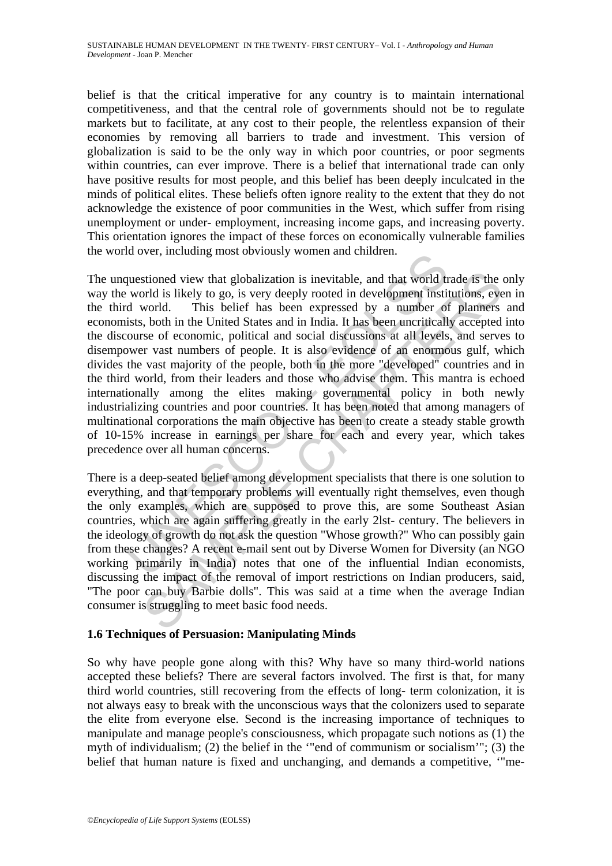belief is that the critical imperative for any country is to maintain international competitiveness, and that the central role of governments should not be to regulate markets but to facilitate, at any cost to their people, the relentless expansion of their economies by removing all barriers to trade and investment. This version of globalization is said to be the only way in which poor countries, or poor segments within countries, can ever improve. There is a belief that international trade can only have positive results for most people, and this belief has been deeply inculcated in the minds of political elites. These beliefs often ignore reality to the extent that they do not acknowledge the existence of poor communities in the West, which suffer from rising unemployment or under- employment, increasing income gaps, and increasing poverty. This orientation ignores the impact of these forces on economically vulnerable families the world over, including most obviously women and children.

above, including most obviously women and ciniuen.<br>
questioned view that globalization is inevitable, and that world tr<br>
world is likely to go, is very deeply rooted in development instited<br>
world. This belief has been exp stioned view that globalization is inevitable, and that world trade is the ord is likely to go, is very deeply rooted in development institutions, every distable in the Unit belieft has been acressed by a number of platmer The unquestioned view that globalization is inevitable, and that world trade is the only way the world is likely to go, is very deeply rooted in development institutions, even in the third world. This belief has been expressed by a number of planners and economists, both in the United States and in India. It has been uncritically accepted into the discourse of economic, political and social discussions at all levels, and serves to disempower vast numbers of people. It is also evidence of an enormous gulf, which divides the vast majority of the people, both in the more "developed" countries and in the third world, from their leaders and those who advise them. This mantra is echoed internationally among the elites making governmental policy in both newly industrializing countries and poor countries. It has been noted that among managers of multinational corporations the main objective has been to create a steady stable growth of 10-15% increase in earnings per share for each and every year, which takes precedence over all human concerns.

There is a deep-seated belief among development specialists that there is one solution to everything, and that temporary problems will eventually right themselves, even though the only examples, which are supposed to prove this, are some Southeast Asian countries, which are again suffering greatly in the early 2lst- century. The believers in the ideology of growth do not ask the question "Whose growth?" Who can possibly gain from these changes? A recent e-mail sent out by Diverse Women for Diversity (an NGO working primarily in India) notes that one of the influential Indian economists, discussing the impact of the removal of import restrictions on Indian producers, said, "The poor can buy Barbie dolls". This was said at a time when the average Indian consumer is struggling to meet basic food needs.

## **1.6 Techniques of Persuasion: Manipulating Minds**

So why have people gone along with this? Why have so many third-world nations accepted these beliefs? There are several factors involved. The first is that, for many third world countries, still recovering from the effects of long- term colonization, it is not always easy to break with the unconscious ways that the colonizers used to separate the elite from everyone else. Second is the increasing importance of techniques to manipulate and manage people's consciousness, which propagate such notions as (1) the myth of individualism; (2) the belief in the '"end of communism or socialism'"; (3) the belief that human nature is fixed and unchanging, and demands a competitive, '"me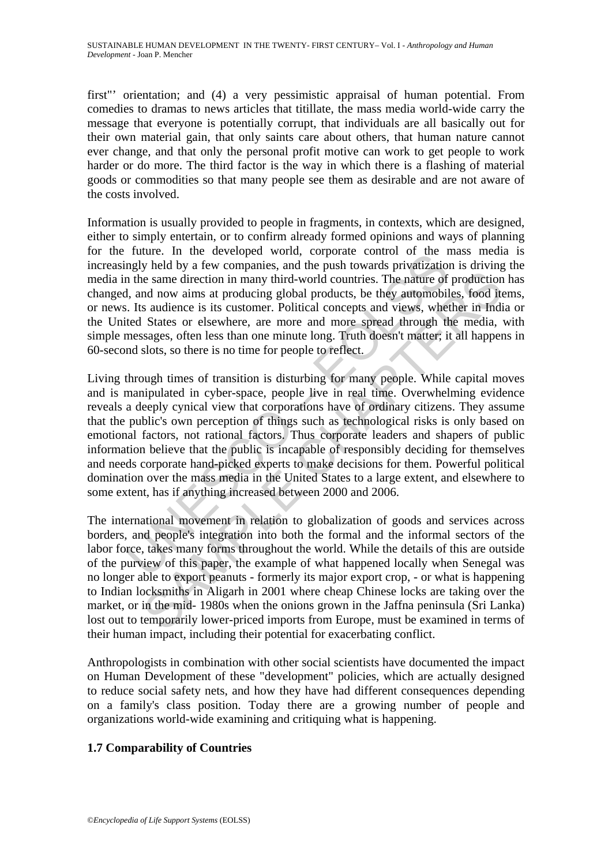first"' orientation; and (4) a very pessimistic appraisal of human potential. From comedies to dramas to news articles that titillate, the mass media world-wide carry the message that everyone is potentially corrupt, that individuals are all basically out for their own material gain, that only saints care about others, that human nature cannot ever change, and that only the personal profit motive can work to get people to work harder or do more. The third factor is the way in which there is a flashing of material goods or commodities so that many people see them as desirable and are not aware of the costs involved.

Information is usually provided to people in fragments, in contexts, which are designed, either to simply entertain, or to confirm already formed opinions and ways of planning for the future. In the developed world, corporate control of the mass media is increasingly held by a few companies, and the push towards privatization is driving the media in the same direction in many third-world countries. The nature of production has changed, and now aims at producing global products, be they automobiles, food items, or news. Its audience is its customer. Political concepts and views, whether in India or the United States or elsewhere, are more and more spread through the media, with simple messages, often less than one minute long. Truth doesn't matter; it all happens in 60-second slots, so there is no time for people to reflect.

ruture. In the teveloped world, colporate count of the rest of the deviation of the rest of the deviation of the rangely held by a few companies, and the push towards privatization is the same direction in many third-world be a sudience is its customer of persons and the model of the model in the model in the model in successive, the same direction in many third-world countries. The nature of production at one and increase is its customer. P Living through times of transition is disturbing for many people. While capital moves and is manipulated in cyber-space, people live in real time. Overwhelming evidence reveals a deeply cynical view that corporations have of ordinary citizens. They assume that the public's own perception of things such as technological risks is only based on emotional factors, not rational factors. Thus corporate leaders and shapers of public information believe that the public is incapable of responsibly deciding for themselves and needs corporate hand-picked experts to make decisions for them. Powerful political domination over the mass media in the United States to a large extent, and elsewhere to some extent, has if anything increased between 2000 and 2006.

The international movement in relation to globalization of goods and services across borders, and people's integration into both the formal and the informal sectors of the labor force, takes many forms throughout the world. While the details of this are outside of the purview of this paper, the example of what happened locally when Senegal was no longer able to export peanuts - formerly its major export crop, - or what is happening to Indian locksmiths in Aligarh in 2001 where cheap Chinese locks are taking over the market, or in the mid- 1980s when the onions grown in the Jaffna peninsula (Sri Lanka) lost out to temporarily lower-priced imports from Europe, must be examined in terms of their human impact, including their potential for exacerbating conflict.

Anthropologists in combination with other social scientists have documented the impact on Human Development of these "development" policies, which are actually designed to reduce social safety nets, and how they have had different consequences depending on a family's class position. Today there are a growing number of people and organizations world-wide examining and critiquing what is happening.

## **1.7 Comparability of Countries**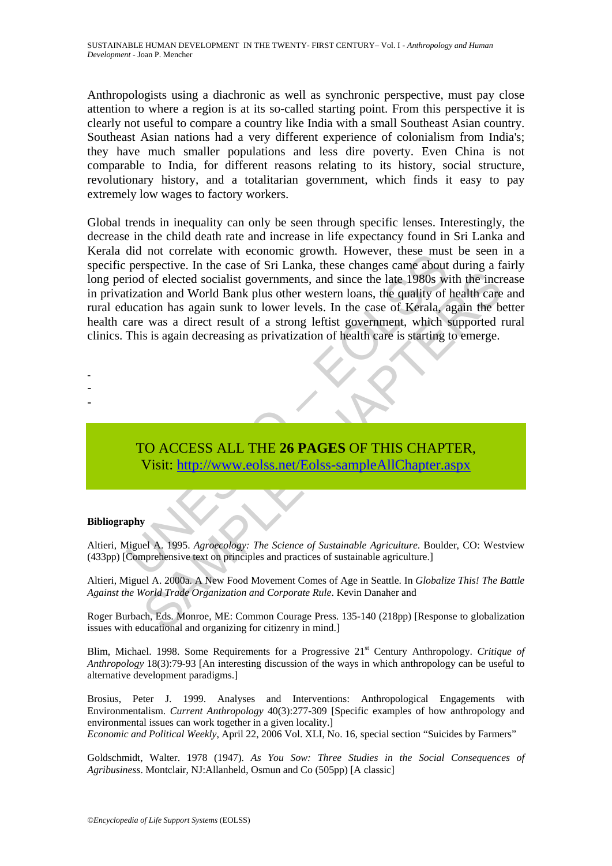Anthropologists using a diachronic as well as synchronic perspective, must pay close attention to where a region is at its so-called starting point. From this perspective it is clearly not useful to compare a country like India with a small Southeast Asian country. Southeast Asian nations had a very different experience of colonialism from India's; they have much smaller populations and less dire poverty. Even China is not comparable to India, for different reasons relating to its history, social structure, revolutionary history, and a totalitarian government, which finds it easy to pay extremely low wages to factory workers.

The properties will economic grown. Thowever, these mass perspective. In the case of Sri Lanka, these changes came about<br>propertied of elected socialist governments, and since the late 1980s witzation and World Bank plus o The state of Sustainable Agriculture. Boulder, The Science of Sustainable and Moral Theorem II and original state the state of Meridian has a direct result of a strong leftist government, which sape the base of Meridian ha Global trends in inequality can only be seen through specific lenses. Interestingly, the decrease in the child death rate and increase in life expectancy found in Sri Lanka and Kerala did not correlate with economic growth. However, these must be seen in a specific perspective. In the case of Sri Lanka, these changes came about during a fairly long period of elected socialist governments, and since the late 1980s with the increase in privatization and World Bank plus other western loans, the quality of health care and rural education has again sunk to lower levels. In the case of Kerala, again the better health care was a direct result of a strong leftist government, which supported rural clinics. This is again decreasing as privatization of health care is starting to emerge.

# TO ACCESS ALL THE **26 PAGES** OF THIS CHAPTER, Visit: http://www.eolss.net/Eolss-sampleAllChapter.aspx

#### **Bibliography**

- - -

Altieri, Miguel A. 1995. *Agroecology: The Science of Sustainable Agriculture*. Boulder, CO: Westview (433pp) [Comprehensive text on principles and practices of sustainable agriculture.]

Altieri, Miguel A. 2000a. A New Food Movement Comes of Age in Seattle. In *Globalize This! The Battle Against the World Trade Organization and Corporate Rule*. Kevin Danaher and

Roger Burbach, Eds. Monroe, ME: Common Courage Press. 135-140 (218pp) [Response to globalization issues with educational and organizing for citizenry in mind.]

Blim, Michael. 1998. Some Requirements for a Progressive 21st Century Anthropology. *Critique of Anthropology* 18(3):79-93 [An interesting discussion of the ways in which anthropology can be useful to alternative development paradigms.]

Brosius, Peter J. 1999. Analyses and Interventions: Anthropological Engagements with Environmentalism. *Current Anthropology* 40(3):277-309 [Specific examples of how anthropology and environmental issues can work together in a given locality.] *Economic and Political Weekly*, April 22, 2006 Vol. XLI, No. 16, special section "Suicides by Farmers"

Goldschmidt, Walter. 1978 (1947). *As You Sow: Three Studies in the Social Consequences of Agribusiness*. Montclair, NJ:Allanheld, Osmun and Co (505pp) [A classic]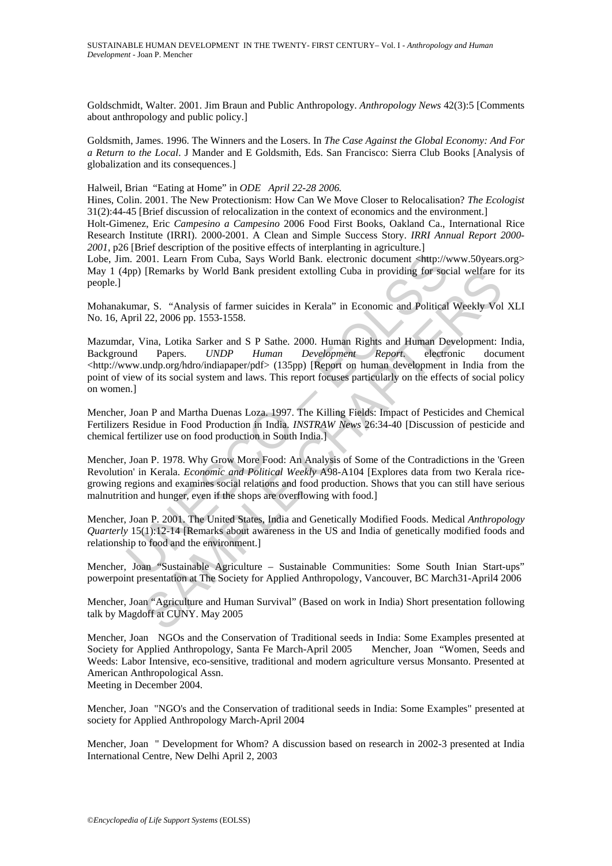Goldschmidt, Walter. 2001. Jim Braun and Public Anthropology. *Anthropology News* 42(3):5 [Comments about anthropology and public policy.]

Goldsmith, James. 1996. The Winners and the Losers. In *The Case Against the Global Economy: And For a Return to the Local*. J Mander and E Goldsmith, Eds. San Francisco: Sierra Club Books [Analysis of globalization and its consequences.]

Halweil, Brian "Eating at Home" in *ODE April 22-28 2006.*

Hines, Colin. 2001. The New Protectionism: How Can We Move Closer to Relocalisation? *The Ecologist* 31(2):44-45 [Brief discussion of relocalization in the context of economics and the environment.]

Holt-Gimenez, Eric *Campesino a Campesino* 2006 Food First Books, Oakland Ca., International Rice Research Institute (IRRI). 2000-2001. A Clean and Simple Success Story. *IRRI Annual Report 2000- 2001*, p26 [Brief description of the positive effects of interplanting in agriculture.]

Lobe, Jim. 2001. Learn From Cuba, Says World Bank. electronic document <http://www.50years.org> May 1 (4pp) [Remarks by World Bank president extolling Cuba in providing for social welfare for its people.]

Mohanakumar, S. "Analysis of farmer suicides in Kerala" in Economic and Political Weekly Vol XLI No. 16, April 22, 2006 pp. 1553-1558.

n. 2001. Learn From Cuba, Says World Bank. electronic document shttp://vpp) [Remarks by World Bank president extolling Cuba in providing for soc<br>umar, S. "Analysis of farmer suicides in Kerala" in Economic and Political<br>pr [Remarks by World Bank president extolling Cuba in providing tor social wellare 1<br>
ar, S. "Analysis of farmer suicides in Kerala" in Economic and Political Weekly Vol<br>
22, 2006 pp. 1553-1558.<br>
Vina, Lotika Sarker and S P Mazumdar, Vina, Lotika Sarker and S P Sathe. 2000. Human Rights and Human Development: India, Background Papers. *UNDP Human Development Report*. electronic document <http://www.undp.org/hdro/indiapaper/pdf> (135pp) [Report on human development in India from the point of view of its social system and laws. This report focuses particularly on the effects of social policy on women.]

Mencher, Joan P and Martha Duenas Loza. 1997. The Killing Fields: Impact of Pesticides and Chemical Fertilizers Residue in Food Production in India. *INSTRAW News* 26:34-40 [Discussion of pesticide and chemical fertilizer use on food production in South India.]

Mencher, Joan P. 1978. Why Grow More Food: An Analysis of Some of the Contradictions in the 'Green Revolution' in Kerala. *Economic and Political Weekly* A98-A104 [Explores data from two Kerala ricegrowing regions and examines social relations and food production. Shows that you can still have serious malnutrition and hunger, even if the shops are overflowing with food.]

Mencher, Joan P. 2001. The United States, India and Genetically Modified Foods. Medical *Anthropology Quarterly* 15(1):12-14 [Remarks about awareness in the US and India of genetically modified foods and relationship to food and the environment.]

Mencher, Joan "Sustainable Agriculture – Sustainable Communities: Some South Inian Start-ups" powerpoint presentation at The Society for Applied Anthropology, Vancouver, BC March31-April4 2006

Mencher, Joan "Agriculture and Human Survival" (Based on work in India) Short presentation following talk by Magdoff at CUNY. May 2005

Mencher, Joan NGOs and the Conservation of Traditional seeds in India: Some Examples presented at Society for Applied Anthropology, Santa Fe March-April 2005 Mencher, Joan "Women, Seeds and Weeds: Labor Intensive, eco-sensitive, traditional and modern agriculture versus Monsanto. Presented at American Anthropological Assn.

Meeting in December 2004.

Mencher, Joan "NGO's and the Conservation of traditional seeds in India: Some Examples" presented at society for Applied Anthropology March-April 2004

Mencher, Joan " Development for Whom? A discussion based on research in 2002-3 presented at India International Centre, New Delhi April 2, 2003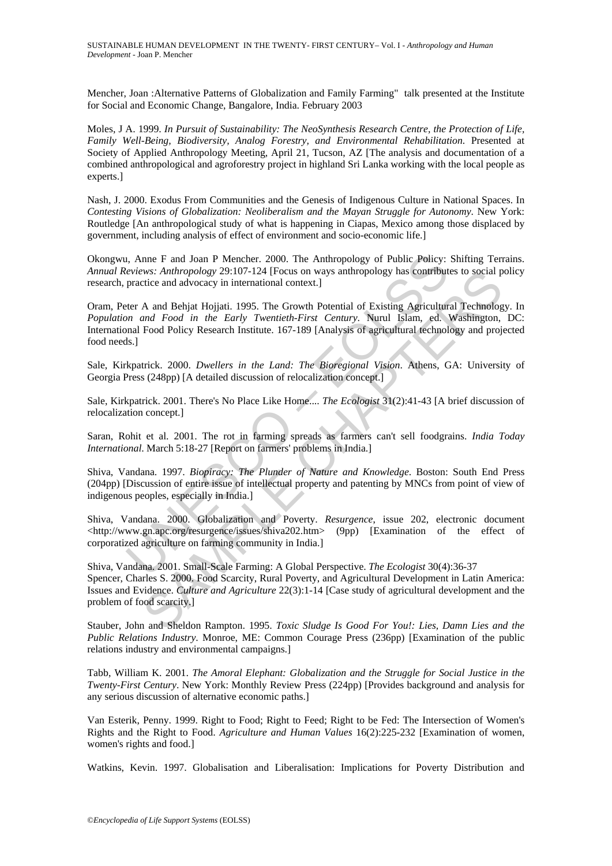Mencher, Joan :Alternative Patterns of Globalization and Family Farming" talk presented at the Institute for Social and Economic Change, Bangalore, India. February 2003

Moles, J A. 1999. *In Pursuit of Sustainability: The NeoSynthesis Research Centre, the Protection of Life, Family Well-Being, Biodiversity, Analog Forestry, and Environmental Rehabilitation*. Presented at Society of Applied Anthropology Meeting, April 21, Tucson, AZ [The analysis and documentation of a combined anthropological and agroforestry project in highland Sri Lanka working with the local people as experts.]

Nash, J. 2000. Exodus From Communities and the Genesis of Indigenous Culture in National Spaces. In *Contesting Visions of Globalization: Neoliberalism and the Mayan Struggle for Autonomy*. New York: Routledge [An anthropological study of what is happening in Ciapas, Mexico among those displaced by government, including analysis of effect of environment and socio-economic life.]

Okongwu, Anne F and Joan P Mencher. 2000. The Anthropology of Public Policy: Shifting Terrains. *Annual Reviews: Anthropology* 29:107-124 [Focus on ways anthropology has contributes to social policy research, practice and advocacy in international context.]

1, Anne F and Joan P Mencher. 2000. The Anthropology of Public Policy: *eviews: Anthropology* 29:107-124 [Focus on ways anthropology has contribut practice and advocacy in international context.]<br>
ter A and Behjat Hojjati. Oram, Peter A and Behjat Hojjati. 1995. The Growth Potential of Existing Agricultural Technology. In *Population and Food in the Early Twentieth-First Century*. Nurul Islam, ed. Washington, DC: International Food Policy Research Institute. 167-189 [Analysis of agricultural technology and projected food needs.]

Sale, Kirkpatrick. 2000. *Dwellers in the Land: The Bioregional Vision*. Athens, GA: University of Georgia Press (248pp) [A detailed discussion of relocalization concept.]

Sale, Kirkpatrick. 2001. There's No Place Like Home.... *The Ecologist* 31(2):41-43 [A brief discussion of relocalization concept.]

Saran, Rohit et al. 2001. The rot in farming spreads as farmers can't sell foodgrains. *India Today International*. March 5:18-27 [Report on farmers' problems in India.]

Shiva, Vandana. 1997. *Biopiracy: The Plunder of Nature and Knowledge*. Boston: South End Press (204pp) [Discussion of entire issue of intellectual property and patenting by MNCs from point of view of indigenous peoples, especially in India.]

Shiva, Vandana. 2000. Globalization and Poverty. *Resurgence*, issue 202, electronic document <http://www.gn.apc.org/resurgence/issues/shiva202.htm> (9pp) [Examination of the effect of corporatized agriculture on farming community in India.]

Was: Anthropology 29:10/-124 [Focus on ways anthropology has contributes to social p<br>ticke and advocacy in international context.]<br>A and Behiat Hojiati. 1995. The Growth Potential of Existing Agricultural Technology<br>and Fo Shiva, Vandana. 2001. Small-Scale Farming: A Global Perspective. *The Ecologist* 30(4):36-37 Spencer, Charles S. 2000. Food Scarcity, Rural Poverty, and Agricultural Development in Latin America: Issues and Evidence. *Culture and Agriculture* 22(3):1-14 [Case study of agricultural development and the problem of food scarcity.]

Stauber, John and Sheldon Rampton. 1995. *Toxic Sludge Is Good For You!: Lies, Damn Lies and the Public Relations Industry*. Monroe, ME: Common Courage Press (236pp) [Examination of the public relations industry and environmental campaigns.]

Tabb, William K. 2001. *The Amoral Elephant: Globalization and the Struggle for Social Justice in the Twenty-First Century*. New York: Monthly Review Press (224pp) [Provides background and analysis for any serious discussion of alternative economic paths.]

Van Esterik, Penny. 1999. Right to Food; Right to Feed; Right to be Fed: The Intersection of Women's Rights and the Right to Food. *Agriculture and Human Values* 16(2):225-232 [Examination of women, women's rights and food.]

Watkins, Kevin. 1997. Globalisation and Liberalisation: Implications for Poverty Distribution and